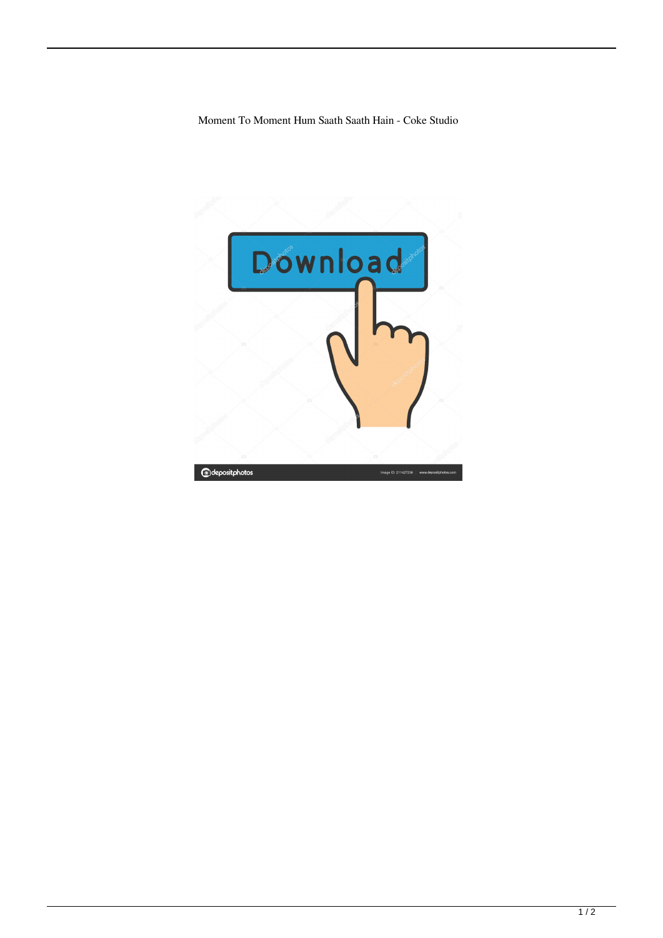Moment To Moment Hum Saath Saath Hain - Coke Studio